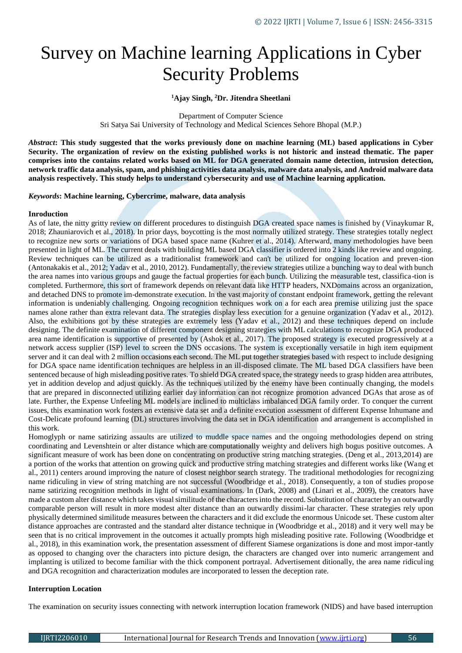# Survey on Machine learning Applications in Cyber Security Problems

## **<sup>1</sup>Ajay Singh, <sup>2</sup>Dr. Jitendra Sheetlani**

Department of Computer Science Sri Satya Sai University of Technology and Medical Sciences Sehore Bhopal (M.P.)

*Abstract***: This study suggested that the works previously done on machine learning (ML) based applications in Cyber Security. The organization of review on the existing published works is not historic and instead thematic. The paper comprises into the contains related works based on ML for DGA generated domain name detection, intrusion detection, network traffic data analysis, spam, and phishing activities data analysis, malware data analysis, and Android malware data analysis respectively. This study helps to understand cybersecurity and use of Machine learning application.**

#### *Keywords***: Machine learning, Cybercrime, malware, data analysis**

#### **Inroduction**

As of late, the nitty gritty review on different procedures to distinguish DGA created space names is finished by (Vinaykumar R, 2018; Zhauniarovich et al., 2018). In prior days, boycotting is the most normally utilized strategy. These strategies totally neglect to recognize new sorts or variations of DGA based space name (Kuhrer et al., 2014). Afterward, many methodologies have been presented in light of ML. The current deals with building ML based DGA classifier is ordered into 2 kinds like review and ongoing. Review techniques can be utilized as a traditionalist framework and can't be utilized for ongoing location and preven-tion (Antonakakis et al., 2012; Yadav et al., 2010, 2012). Fundamentally, the review strategies utilize a bunching way to deal with bunch the area names into various groups and gauge the factual properties for each bunch. Utilizing the measurable test, classifica-tion is completed. Furthermore, this sort of framework depends on relevant data like HTTP headers, NXDomains across an organization, and detached DNS to promote im-demonstrate execution. In the vast majority of constant endpoint framework, getting the relevant information is undeniably challenging. Ongoing recognition techniques work on a for each area premise utilizing just the space names alone rather than extra relevant data. The strategies display less execution for a genuine organization (Yadav et al., 2012). Also, the exhibitions got by these strategies are extremely less (Yadav et al., 2012) and these techniques depend on include designing. The definite examination of different component designing strategies with ML calculations to recognize DGA produced area name identification is supportive of presented by (Ashok et al., 2017). The proposed strategy is executed progressively at a network access supplier (ISP) level to screen the DNS occasions. The system is exceptionally versatile in high item equipment server and it can deal with 2 million occasions each second. The ML put together strategies based with respect to include designing for DGA space name identification techniques are helpless in an ill-disposed climate. The ML based DGA classifiers have been sentenced because of high misleading positive rates. To shield DGA created space, the strategy needs to grasp hidden area attributes, yet in addition develop and adjust quickly. As the techniques utilized by the enemy have been continually changing, the models that are prepared in disconnected utilizing earlier day information can not recognize promotion advanced DGAs that arose as of late. Further, the Expense Unfeeling ML models are inclined to multiclass imbalanced DGA family order. To conquer the current issues, this examination work fosters an extensive data set and a definite execution assessment of different Expense Inhumane and Cost-Delicate profound learning (DL) structures involving the data set in DGA identification and arrangement is accomplished in this work.

Homoglyph or name satirizing assaults are utilized to muddle space names and the ongoing methodologies depend on string coordinating and Levenshtein or alter distance which are computationally weighty and delivers high bogus positive outcomes. A significant measure of work has been done on concentrating on productive string matching strategies. (Deng et al., 2013,2014) are a portion of the works that attention on growing quick and productive string matching strategies and different works like (Wang et al., 2011) centers around improving the nature of closest neighbor search strategy. The traditional methodologies for recognizing name ridiculing in view of string matching are not successful (Woodbridge et al., 2018). Consequently, a ton of studies propose name satirizing recognition methods in light of visual examinations. In (Dark, 2008) and (Linari et al., 2009), the creators have made a custom alter distance which takes visual similitude of the characters into the record. Substitution of character by an outwardly comparable person will result in more modest alter distance than an outwardly dissimi-lar character. These strategies rely upon physically determined similitude measures between the characters and it did exclude the enormous Unicode set. These custom alter distance approaches are contrasted and the standard alter distance technique in (Woodbridge et al., 2018) and it very well may be seen that is no critical improvement in the outcomes it actually prompts high misleading positive rate. Following (Woodbridge et al., 2018), in this examination work, the presentation assessment of different Siamese organizations is done and most impor-tantly as opposed to changing over the characters into picture design, the characters are changed over into numeric arrangement and implanting is utilized to become familiar with the thick component portrayal. Advertisement ditionally, the area name ridiculing and DGA recognition and characterization modules are incorporated to lessen the deception rate.

#### **Interruption Location**

The examination on security issues connecting with network interruption location framework (NIDS) and have based interruption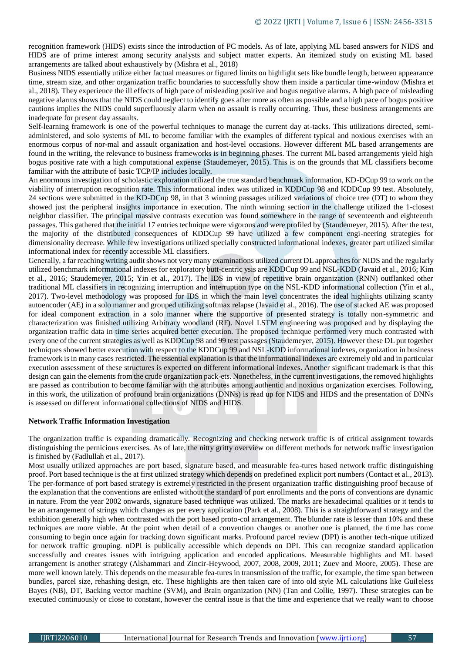recognition framework (HIDS) exists since the introduction of PC models. As of late, applying ML based answers for NIDS and HIDS are of prime interest among security analysts and subject matter experts. An itemized study on existing ML based arrangements are talked about exhaustively by (Mishra et al., 2018)

Business NIDS essentially utilize either factual measures or figured limits on highlight sets like bundle length, between appearance time, stream size, and other organization traffic boundaries to successfully show them inside a particular time-window (Mishra et al., 2018). They experience the ill effects of high pace of misleading positive and bogus negative alarms. A high pace of misleading negative alarms shows that the NIDS could neglect to identify goes after more as often as possible and a high pace of bogus positive cautions implies the NIDS could superfluously alarm when no assault is really occurring. Thus, these business arrangements are inadequate for present day assaults.

Self-learning framework is one of the powerful techniques to manage the current day at-tacks. This utilizations directed, semiadministered, and solo systems of ML to become familiar with the examples of different typical and noxious exercises with an enormous corpus of nor-mal and assault organization and host-level occasions. However different ML based arrangements are found in the writing, the relevance to business frameworks is in beginning phases. The current ML based arrangements yield high bogus positive rate with a high computational expense (Staudemeyer, 2015). This is on the grounds that ML classifiers become familiar with the attribute of basic TCP/IP includes locally.

An enormous investigation of scholastic exploration utilized the true standard benchmark information, KD-DCup 99 to work on the viability of interruption recognition rate. This informational index was utilized in KDDCup 98 and KDDCup 99 test. Absolutely, 24 sections were submitted in the KD-DCup 98, in that 3 winning passages utilized variations of choice tree (DT) to whom they showed just the peripheral insights importance in execution. The ninth winning section in the challenge utilized the 1-closest neighbor classifier. The principal massive contrasts execution was found somewhere in the range of seventeenth and eighteenth passages. This gathered that the initial 17 entries technique were vigorous and were profiled by (Staudemeyer, 2015). After the test, the majority of the distributed consequences of KDDCup 99 have utilized a few component engi-neering strategies for dimensionality decrease. While few investigations utilized specially constructed informational indexes, greater part utilized similar informational index for recently accessible ML classifiers.

Generally, a far reaching writing audit shows not very many examinations utilized current DL approaches for NIDS and the regularly utilized benchmark informational indexes for exploratory butt-centric ysis are KDDCup 99 and NSL-KDD (Javaid et al., 2016; Kim et al., 2016; Staudemeyer, 2015; Yin et al., 2017). The IDS in view of repetitive brain organization (RNN) outflanked other traditional ML classifiers in recognizing interruption and interruption type on the NSL-KDD informational collection (Yin et al., 2017). Two-level methodology was proposed for IDS in which the main level concentrates the ideal highlights utilizing scanty autoencoder (AE) in a solo manner and grouped utilizing softmax relapse (Javaid et al., 2016). The use of stacked AE was proposed for ideal component extraction in a solo manner where the supportive of presented strategy is totally non-symmetric and characterization was finished utilizing Arbitrary woodland (RF). Novel LSTM engineering was proposed and by displaying the organization traffic data in time series acquired better execution. The proposed technique performed very much contrasted with every one of the current strategies as well as KDDCup 98 and 99 test passages (Staudemeyer, 2015). However these DL put together techniques showed better execution with respect to the KDDCup 99 and NSL-KDD informational indexes, organization in business framework is in many cases restricted. The essential explanation is that the informational indexes are extremely old and in particular execution assessment of these structures is expected on different informational indexes. Another significant trademark is that this design can gain the elements from the crude organization pack-ets. Nonetheless, in the current investigations, the removed highlights are passed as contribution to become familiar with the attributes among authentic and noxious organization exercises. Following, in this work, the utilization of profound brain organizations (DNNs) is read up for NIDS and HIDS and the presentation of DNNs is assessed on different informational collections of NIDS and HIDS.

#### **Network Traffic Information Investigation**

The organization traffic is expanding dramatically. Recognizing and checking network traffic is of critical assignment towards distinguishing the pernicious exercises. As of late, the nitty gritty overview on different methods for network traffic investigation is finished by (Fadlullah et al., 2017).

Most usually utilized approaches are port based, signature based, and measurable fea-tures based network traffic distinguishing proof. Port based technique is the at first utilized strategy which depends on predefined explicit port numbers (Contact et al., 2013). The per-formance of port based strategy is extremely restricted in the present organization traffic distinguishing proof because of the explanation that the conventions are enlisted without the standard of port enrollments and the ports of conventions are dynamic in nature. From the year 2002 onwards, signature based technique was utilized. The marks are hexadecimal qualities or it tends to be an arrangement of strings which changes as per every application (Park et al., 2008). This is a straightforward strategy and the exhibition generally high when contrasted with the port based proto-col arrangement. The blunder rate is lesser than 10% and these techniques are more viable. At the point when detail of a convention changes or another one is planned, the time has come consuming to begin once again for tracking down significant marks. Profound parcel review (DPI) is another tech-nique utilized for network traffic grouping. nDPI is publically accessible which depends on DPI. This can recognize standard application successfully and creates issues with intriguing application and encoded applications. Measurable highlights and ML based arrangement is another strategy (Alshammari and Zincir-Heywood, 2007, 2008, 2009, 2011; Zuev and Moore, 2005). These are more well known lately. This depends on the measurable fea-tures in transmission of the traffic, for example, the time span between bundles, parcel size, rehashing design, etc. These highlights are then taken care of into old style ML calculations like Guileless Bayes (NB), DT, Backing vector machine (SVM), and Brain organization (NN) (Tan and Collie, 1997). These strategies can be executed continuously or close to constant, however the central issue is that the time and experience that we really want to choose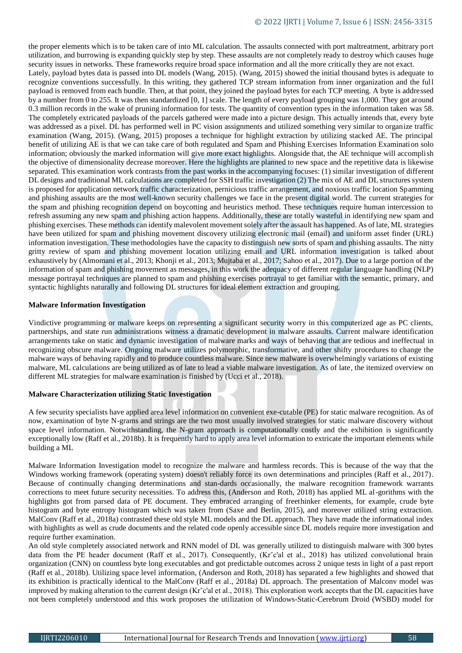the proper elements which is to be taken care of into ML calculation. The assaults connected with port maltreatment, arbitrary port utilization, and burrowing is expanding quickly step by step. These assaults are not completely ready to destroy which causes huge security issues in networks. These frameworks require broad space information and all the more critically they are not exact.

Lately, payload bytes data is passed into DL models (Wang, 2015). (Wang, 2015) showed the initial thousand bytes is adequate to recognize conventions successfully. In this writing, they gathered TCP stream information from inner organization and the full payload is removed from each bundle. Then, at that point, they joined the payload bytes for each TCP meeting. A byte is addressed by a number from 0 to 255. It was then standardized [0, 1] scale. The length of every payload grouping was 1,000. They got around 0.3 million records in the wake of pruning information for tests. The quantity of convention types in the information taken was 58. The completely extricated payloads of the parcels gathered were made into a picture design. This actually intends that, every byte was addressed as a pixel. DL has performed well in PC vision assignments and utilized something very similar to organize traffic examination (Wang, 2015). (Wang, 2015) proposes a technique for highlight extraction by utilizing stacked AE. The principal benefit of utilizing AE is that we can take care of both regulated and Spam and Phishing Exercises Information Examination solo information; obviously the marked information will give more exact highlights. Alongside that, the AE technique will accomplish the objective of dimensionality decrease moreover. Here the highlights are planned to new space and the repetitive data is likewise separated. This examination work contrasts from the past works in the accompanying focuses: (1) similar investigation of different DL designs and traditional ML calculations are completed for SSH traffic investigation (2) The mix of AE and DL structures system is proposed for application network traffic characterization, pernicious traffic arrangement, and noxious traffic location Spamming and phishing assaults are the most well-known security challenges we face in the present digital world. The current strategies for the spam and phishing recognition depend on boycotting and heuristics method. These techniques require human intercession to refresh assuming any new spam and phishing action happens. Additionally, these are totally wasteful in identifying new spam and phishing exercises. These methods can identify malevolent movement solely after the assault has happened. As of late, ML strategies have been utilized for spam and phishing movement discovery utilizing electronic mail (email) and uniform asset finder (URL) information investigation. These methodologies have the capacity to distinguish new sorts of spam and phishing assaults. The nitty gritty review of spam and phishing movement location utilizing email and URL information investigation is talked about exhaustively by (Almomani et al., 2013; Khonji et al., 2013; Mujtaba et al., 2017; Sahoo et al., 2017). Due to a large portion of the information of spam and phishing movement as messages, in this work the adequacy of different regular language handling (NLP) message portrayal techniques are planned to spam and phishing exercises portrayal to get familiar with the semantic, primary, and syntactic highlights naturally and following DL structures for ideal element extraction and grouping.

## **Malware Information Investigation**

Vindictive programming or malware keeps on representing a significant security worry in this computerized age as PC clients, partnerships, and state run administrations witness a dramatic development in malware assaults. Current malware identification arrangements take on static and dynamic investigation of malware marks and ways of behaving that are tedious and ineffectual in recognizing obscure malware. Ongoing malware utilizes polymorphic, transformative, and other shifty procedures to change the malware ways of behaving rapidly and to produce countless malware. Since new malware is overwhelmingly variations of existing malware, ML calculations are being utilized as of late to lead a viable malware investigation. As of late, the itemized overview on different ML strategies for malware examination is finished by (Ucci et al., 2018).

## **Malware Characterization utilizing Static Investigation**

A few security specialists have applied area level information on convenient exe-cutable (PE) for static malware recognition. As of now, examination of byte N-grams and strings are the two most usually involved strategies for static malware discovery without space level information. Notwithstanding, the N-gram approach is computationally costly and the exhibition is significantly exceptionally low (Raff et al., 2018b). It is frequently hard to apply area level information to extricate the important elements while building a ML

Malware Information Investigation model to recognize the malware and harmless records. This is because of the way that the Windows working framework (operating system) doesn't reliably force its own determinations and principles (Raff et al., 2017). Because of continually changing determinations and stan-dards occasionally, the malware recognition framework warrants corrections to meet future security necessities. To address this, (Anderson and Roth, 2018) has applied ML al-gorithms with the highlights got from parsed data of PE document. They embraced arranging of freethinker elements, for example, crude byte histogram and byte entropy histogram which was taken from (Saxe and Berlin, 2015), and moreover utilized string extraction. MalConv (Raff et al., 2018a) contrasted these old style ML models and the DL approach. They have made the informational index with highlights as well as crude documents and the related code openly accessible since DL models require more investigation and require further examination.

An old style completely associated network and RNN model of DL was generally utilized to distinguish malware with 300 bytes data from the PE header document (Raff et al., 2017). Consequently, (Kr<sup>∗</sup>c'al et al., 2018) has utilized convolutional brain organization (CNN) on countless byte long executables and got predictable outcomes across 2 unique tests in light of a past report (Raff et al., 2018b). Utilizing space level information, (Anderson and Roth, 2018) has separated a few highlights and showed that its exhibition is practically identical to the MalConv (Raff et al., 2018a) DL approach. The presentation of Malconv model was improved by making alteration to the current design (Krˇc'al et al., 2018). This exploration work accepts that the DL capacities have not been completely understood and this work proposes the utilization of Windows-Static-Cerebrum Droid (WSBD) model for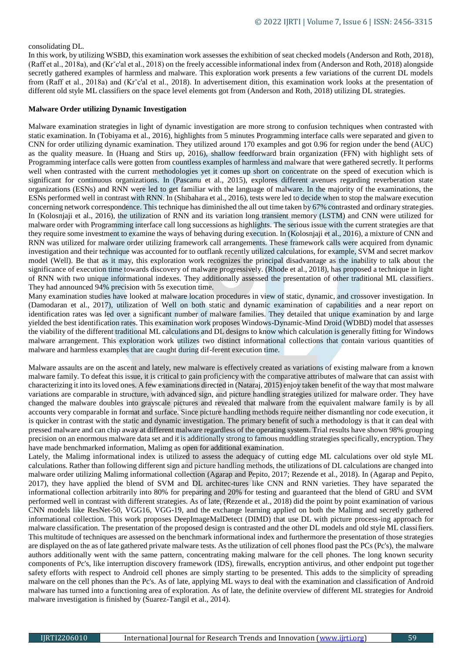## consolidating DL.

In this work, by utilizing WSBD, this examination work assesses the exhibition of seat checked models (Anderson and Roth, 2018), (Raff et al., 2018a), and (Krˇc'al et al., 2018) on the freely accessible informational index from (Anderson and Roth, 2018) alongside secretly gathered examples of harmless and malware. This exploration work presents a few variations of the current DL models from (Raff et al., 2018a) and (Krˇc'al et al., 2018). In advertisement dition, this examination work looks at the presentation of different old style ML classifiers on the space level elements got from (Anderson and Roth, 2018) utilizing DL strategies.

#### **Malware Order utilizing Dynamic Investigation**

Malware examination strategies in light of dynamic investigation are more strong to confusion techniques when contrasted with static examination. In (Tobiyama et al., 2016), highlights from 5 minutes Programming interface calls were separated and given to CNN for order utilizing dynamic examination. They utilized around 170 examples and got 0.96 for region under the bend (AUC) as the quality measure. In (Huang and Stirs up, 2016), shallow feedforward brain organization (FFN) with highlight sets of Programming interface calls were gotten from countless examples of harmless and malware that were gathered secretly. It performs well when contrasted with the current methodologies yet it comes up short on concentrate on the speed of execution which is significant for continuous organizations. In (Pascanu et al., 2015), explores different avenues regarding reverberation state organizations (ESNs) and RNN were led to get familiar with the language of malware. In the majority of the examinations, the ESNs performed well in contrast with RNN. In (Shibahara et al., 2016), tests were led to decide when to stop the malware execution concerning network correspondence. This technique has diminished the all out time taken by 67% contrasted and ordinary strategies. In (Kolosnjaji et al., 2016), the utilization of RNN and its variation long transient memory (LSTM) and CNN were utilized for malware order with Programming interface call long successions as highlights. The serious issue with the current strategies are that they require some investment to examine the ways of behaving during execution. In (Kolosnjaji et al., 2016), a mixture of CNN and RNN was utilized for malware order utilizing framework call arrangements. These framework calls were acquired from dynamic investigation and their technique was accounted for to outflank recently utilized calculations, for example, SVM and secret markov model (Well). Be that as it may, this exploration work recognizes the principal disadvantage as the inability to talk about the significance of execution time towards discovery of malware progressively. (Rhode et al., 2018), has proposed a technique in light of RNN with two unique informational indexes. They additionally assessed the presentation of other traditional ML classifiers. They had announced 94% precision with 5s execution time.

Many examination studies have looked at malware location procedures in view of static, dynamic, and crossover investigation. In (Damodaran et al., 2017), utilization of Well on both static and dynamic examination of capabilities and a near report on identification rates was led over a significant number of malware families. They detailed that unique examination by and large yielded the best identification rates. This examination work proposes Windows-Dynamic-Mind Droid (WDBD) model that assesses the viability of the different traditional ML calculations and DL designs to know which calculation is generally fitting for Windows malware arrangement. This exploration work utilizes two distinct informational collections that contain various quantities of malware and harmless examples that are caught during dif-ferent execution time.

Malware assaults are on the ascent and lately, new malware is effectively created as variations of existing malware from a known malware family. To defeat this issue, it is critical to gain proficiency with the comparative attributes of malware that can assist with characterizing it into its loved ones. A few examinations directed in (Nataraj, 2015) enjoy taken benefit of the way that most malware variations are comparable in structure, with advanced sign, and picture handling strategies utilized for malware order. They have changed the malware doubles into grayscale pictures and revealed that malware from the equivalent malware family is by all accounts very comparable in format and surface. Since picture handling methods require neither dismantling nor code execution, it is quicker in contrast with the static and dynamic investigation. The primary benefit of such a methodology is that it can deal with pressed malware and can chip away at different malware regardless of the operating system. Trial results have shown 98% grouping precision on an enormous malware data set and it is additionally strong to famous muddling strategies specifically, encryption. They have made benchmarked information, Malimg as open for additional examination.

Lately, the Malimg informational index is utilized to assess the adequacy of cutting edge ML calculations over old style ML calculations. Rather than following different sign and picture handling methods, the utilizations of DL calculations are changed into malware order utilizing Malimg informational collection (Agarap and Pepito, 2017; Rezende et al., 2018). In (Agarap and Pepito, 2017), they have applied the blend of SVM and DL architec-tures like CNN and RNN varieties. They have separated the informational collection arbitrarily into 80% for preparing and 20% for testing and guaranteed that the blend of GRU and SVM performed well in contrast with different strategies. As of late, (Rezende et al., 2018) did the point by point examination of various CNN models like ResNet-50, VGG16, VGG-19, and the exchange learning applied on both the Malimg and secretly gathered informational collection. This work proposes DeepImageMalDetect (DIMD) that use DL with picture process-ing approach for malware classification. The presentation of the proposed design is contrasted and the other DL models and old style ML classifiers. This multitude of techniques are assessed on the benchmark informational index and furthermore the presentation of those strategies are displayed on the as of late gathered private malware tests. As the utilization of cell phones flood past the PCs (Pc's), the malware authors additionally went with the same pattern, concentrating making malware for the cell phones. The long known security components of Pc's, like interruption discovery framework (IDS), firewalls, encryption antivirus, and other endpoint put together safety efforts with respect to Android cell phones are simply starting to be presented. This adds to the simplicity of spreading malware on the cell phones than the Pc's. As of late, applying ML ways to deal with the examination and classification of Android malware has turned into a functioning area of exploration. As of late, the definite overview of different ML strategies for Android malware investigation is finished by (Suarez-Tangil et al., 2014).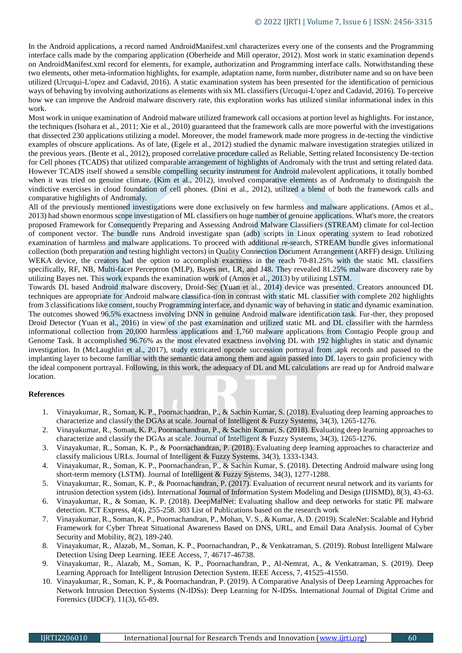In the Android applications, a record named AndroidManifest.xml characterizes every one of the consents and the Programming interface calls made by the comparing application (Oberheide and Mill operator, 2012). Most work in static examination depends on AndroidManifest.xml record for elements, for example, authorization and Programming interface calls. Notwithstanding these two elements, other meta-information highlights, for example, adaptation name, form number, distributer name and so on have been utilized (Urcuqui-L'opez and Cadavid, 2016). A static examination system has been presented for the identification of pernicious ways of behaving by involving authorizations as elements with six ML classifiers (Urcuqui-L'opez and Cadavid, 2016). To perceive how we can improve the Android malware discovery rate, this exploration works has utilized similar informational index in this work.

Most work in unique examination of Android malware utilized framework call occasions at portion level as highlights. For instance, the techniques (Isohara et al., 2011; Xie et al., 2010) guaranteed that the framework calls are more powerful with the investigations that dissected 230 applications utilizing a model. Moreover, the model framework made more progress in de-tecting the vindictive examples of obscure applications. As of late, (Egele et al., 2012) studied the dynamic malware investigation strategies utilized in the previous years. (Bente et al., 2012), proposed correlative procedure called as Reliable, Setting related Inconsistency De-tection for Cell phones (TCADS) that utilized comparable arrangement of highlights of Andromaly with the trust and setting related data. However TCADS itself showed a sensible compelling security instrument for Android malevolent applications, it totally bombed when it was tried on genuine climate. (Kim et al., 2012), involved comparative elements as of Andromaly to distinguish the vindictive exercises in cloud foundation of cell phones. (Dini et al., 2012), utilized a blend of both the framework calls and comparative highlights of Andromaly.

All of the previously mentioned investigations were done exclusively on few harmless and malware applications. (Amos et al., 2013) had shown enormous scope investigation of ML classifiers on huge number of genuine applications. What's more, the creators proposed Framework for Consequently Preparing and Assessing Android Malware Classifiers (STREAM) climate for col-lection of component vector. The bundle runs Android investigate span (adb) scripts in Linux operating system to lead robotized examination of harmless and malware applications. To proceed with additional re-search, STREAM bundle gives informational collection (both preparation and testing highlight vectors) in Quality Connection Document Arrangement (ARFF) design. Utilizing WEKA device, the creators had the option to accomplish exactness in the reach 70-81.25% with the static ML classifiers specifically, RF, NB, Multi-facet Perceptron (MLP), Bayes net, LR, and J48. They revealed 81.25% malware discovery rate by utilizing Bayes net. This work expands the examination work of (Amos et al., 2013) by utilizing LSTM.

Towards DL based Android malware discovery, Droid-Sec (Yuan et al., 2014) device was presented. Creators announced DL techniques are appropriate for Android malware classifica-tion in contrast with static ML classifier with complete 202 highlights from 3 classifications like consent, touchy Programming interface, and dynamic way of behaving in static and dynamic examination. The outcomes showed 96.5% exactness involving DNN in genuine Android malware identification task. Fur-ther, they proposed Droid Detector (Yuan et al., 2016) in view of the past examination and utilized static ML and DL classifier with the harmless informational collection from 20,000 harmless applications and 1,760 malware applications from Contagio People group and Genome Task. It accomplished 96.76% as the most elevated exactness involving DL with 192 highlights in static and dynamic investigation. In (McLaughlin et al., 2017), study extricated opcode succession portrayal from .apk records and passed to the implanting layer to become familiar with the semantic data among them and again passed into DL layers to gain proficiency with the ideal component portrayal. Following, in this work, the adequacy of DL and ML calculations are read up for Android malware location.

## **References**

- 1. Vinayakumar, R., Soman, K. P., Poornachandran, P., & Sachin Kumar, S. (2018). Evaluating deep learning approaches to characterize and classify the DGAs at scale. Journal of Intelligent & Fuzzy Systems, 34(3), 1265-1276.
- 2. Vinayakumar, R., Soman, K. P., Poornachandran, P., & Sachin Kumar, S. (2018). Evaluating deep learning approaches to characterize and classify the DGAs at scale. Journal of Intelligent & Fuzzy Systems, 34(3), 1265-1276.
- 3. Vinayakumar, R., Soman, K. P., & Poornachandran, P. (2018). Evaluating deep learning approaches to characterize and classify malicious URLs. Journal of Intelligent & Fuzzy Systems, 34(3), 1333-1343.
- 4. Vinayakumar, R., Soman, K. P., Poornachandran, P., & Sachin Kumar, S. (2018). Detecting Android malware using long short-term memory (LSTM). Journal of Intelligent & Fuzzy Systems, 34(3), 1277-1288.
- 5. Vinayakumar, R., Soman, K. P., & Poornachandran, P. (2017). Evaluation of recurrent neural network and its variants for intrusion detection system (ids). International Journal of Information System Modeling and Design (IJISMD), 8(3), 43-63.
- 6. Vinayakumar, R., & Soman, K. P. (2018). DeepMalNet: Evaluating shallow and deep networks for static PE malware detection. ICT Express, 4(4), 255-258. 303 List of Publications based on the research work
- 7. Vinayakumar, R., Soman, K. P., Poornachandran, P., Mohan, V. S., & Kumar, A. D. (2019). ScaleNet: Scalable and Hybrid Framework for Cyber Threat Situational Awareness Based on DNS, URL, and Email Data Analysis. Journal of Cyber Security and Mobility, 8(2), 189-240.
- 8. Vinayakumar, R., Alazab, M., Soman, K. P., Poornachandran, P., & Venkatraman, S. (2019). Robust Intelligent Malware Detection Using Deep Learning. IEEE Access, 7, 46717-46738.
- 9. Vinayakumar, R., Alazab, M., Soman, K. P., Poornachandran, P., Al-Nemrat, A., & Venkatraman, S. (2019). Deep Learning Approach for Intelligent Intrusion Detection System. IEEE Access, 7, 41525-41550.
- 10. Vinayakumar, R., Soman, K. P., & Poornachandran, P. (2019). A Comparative Analysis of Deep Learning Approaches for Network Intrusion Detection Systems (N-IDSs): Deep Learning for N-IDSs. International Journal of Digital Crime and Forensics (IJDCF), 11(3), 65-89.